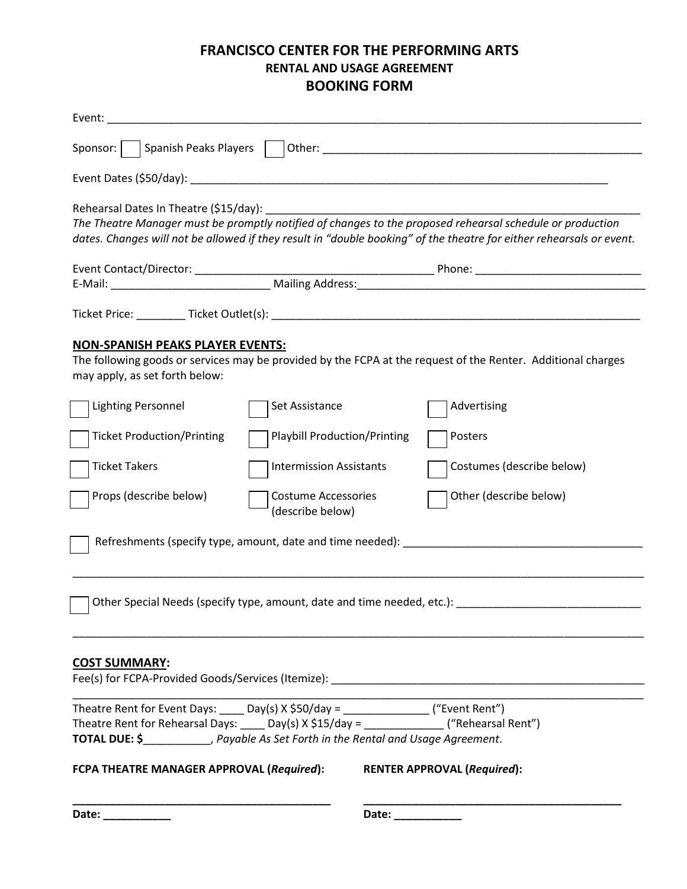## **FRANCISCO CENTER FOR THE PERFORMING ARTS RENTAL AND USAGE AGREEMENT BOOKING FORM**

| Sponsor:<br>Spanish Peaks Players                                                                                                                                                                                  |                                                                                                                                                                                                         |                                                                                                                                                                                                                                   |
|--------------------------------------------------------------------------------------------------------------------------------------------------------------------------------------------------------------------|---------------------------------------------------------------------------------------------------------------------------------------------------------------------------------------------------------|-----------------------------------------------------------------------------------------------------------------------------------------------------------------------------------------------------------------------------------|
|                                                                                                                                                                                                                    |                                                                                                                                                                                                         |                                                                                                                                                                                                                                   |
| Rehearsal Dates In Theatre (\$15/day):                                                                                                                                                                             |                                                                                                                                                                                                         | The Theatre Manager must be promptly notified of changes to the proposed rehearsal schedule or production<br>dates. Changes will not be allowed if they result in "double booking" of the theatre for either rehearsals or event. |
|                                                                                                                                                                                                                    |                                                                                                                                                                                                         |                                                                                                                                                                                                                                   |
|                                                                                                                                                                                                                    |                                                                                                                                                                                                         |                                                                                                                                                                                                                                   |
| <u>NON-SPANISH PEAKS PLAYER EVENTS:</u><br>may apply, as set forth below:<br><b>Lighting Personnel</b><br><b>Ticket Production/Printing</b><br><b>Ticket Takers</b><br>Props (describe below)                      | Set Assistance<br><b>Playbill Production/Printing</b><br><b>Intermission Assistants</b><br><b>Costume Accessories</b><br>(describe below)<br>Refreshments (specify type, amount, date and time needed): | The following goods or services may be provided by the FCPA at the request of the Renter. Additional charges<br>Advertising<br>Posters<br>Costumes (describe below)<br>Other (describe below)                                     |
|                                                                                                                                                                                                                    |                                                                                                                                                                                                         | Other Special Needs (specify type, amount, date and time needed, etc.):                                                                                                                                                           |
| <b>COST SUMMARY:</b><br>Theatre Rent for Event Days: $\_\_\_$ Day(s) X \$50/day = $\_\_\_\_\_\_\_\_$ ("Event Rent")<br>Theatre Rent for Rehearsal Days: _____Day(s) X \$15/day = _______________("Rehearsal Rent") |                                                                                                                                                                                                         | Fee(s) for FCPA-Provided Goods/Services (Itemize): Network and the control of the control of the control of the control of the control of the control of the control of the control of the control of the control of the contr    |
| <b>TOTAL DUE: \$</b> Payable As Set Forth in the Rental and Usage Agreement.<br>FCPA THEATRE MANAGER APPROVAL (Required):                                                                                          |                                                                                                                                                                                                         | <b>RENTER APPROVAL (Required):</b>                                                                                                                                                                                                |
| Date: _________                                                                                                                                                                                                    |                                                                                                                                                                                                         | Date: __________                                                                                                                                                                                                                  |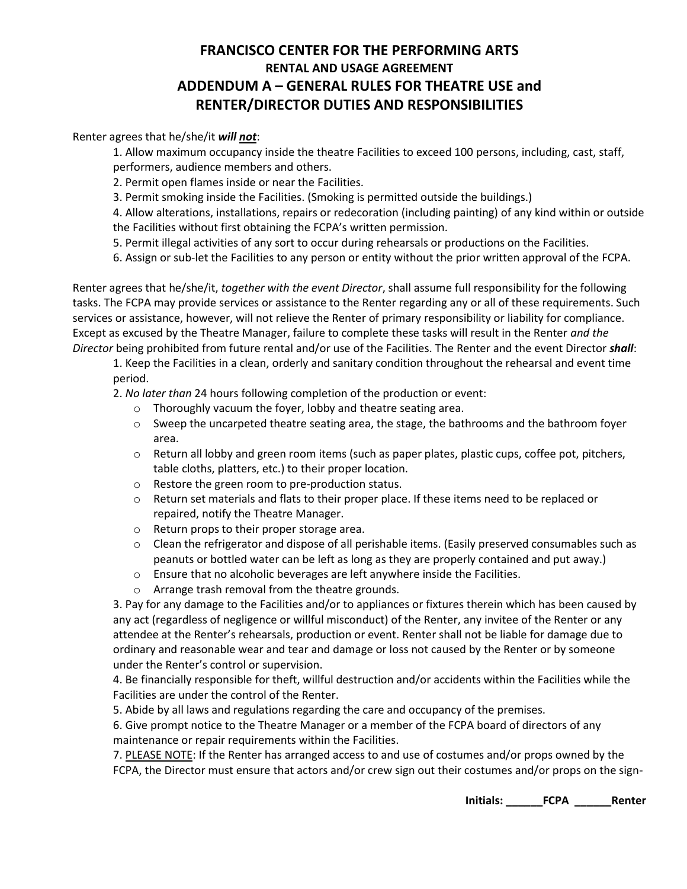## **FRANCISCO CENTER FOR THE PERFORMING ARTS RENTAL AND USAGE AGREEMENT ADDENDUM A – GENERAL RULES FOR THEATRE USE and RENTER/DIRECTOR DUTIES AND RESPONSIBILITIES**

## Renter agrees that he/she/it *will not*:

1. Allow maximum occupancy inside the theatre Facilities to exceed 100 persons, including, cast, staff, performers, audience members and others.

2. Permit open flames inside or near the Facilities.

3. Permit smoking inside the Facilities. (Smoking is permitted outside the buildings.)

4. Allow alterations, installations, repairs or redecoration (including painting) of any kind within or outside the Facilities without first obtaining the FCPA's written permission.

5. Permit illegal activities of any sort to occur during rehearsals or productions on the Facilities.

6. Assign or sub-let the Facilities to any person or entity without the prior written approval of the FCPA.

Renter agrees that he/she/it, *together with the event Director*, shall assume full responsibility for the following tasks. The FCPA may provide services or assistance to the Renter regarding any or all of these requirements. Such services or assistance, however, will not relieve the Renter of primary responsibility or liability for compliance. Except as excused by the Theatre Manager, failure to complete these tasks will result in the Renter *and the Director* being prohibited from future rental and/or use of the Facilities. The Renter and the event Director *shall*:

1. Keep the Facilities in a clean, orderly and sanitary condition throughout the rehearsal and event time period.

2. *No later than* 24 hours following completion of the production or event:

- o Thoroughly vacuum the foyer, lobby and theatre seating area.
- $\circ$  Sweep the uncarpeted theatre seating area, the stage, the bathrooms and the bathroom foyer area.
- $\circ$  Return all lobby and green room items (such as paper plates, plastic cups, coffee pot, pitchers, table cloths, platters, etc.) to their proper location.
- o Restore the green room to pre-production status.
- $\circ$  Return set materials and flats to their proper place. If these items need to be replaced or repaired, notify the Theatre Manager.
- o Return props to their proper storage area.
- $\circ$  Clean the refrigerator and dispose of all perishable items. (Easily preserved consumables such as peanuts or bottled water can be left as long as they are properly contained and put away.)
- o Ensure that no alcoholic beverages are left anywhere inside the Facilities.
- o Arrange trash removal from the theatre grounds.

3. Pay for any damage to the Facilities and/or to appliances or fixtures therein which has been caused by any act (regardless of negligence or willful misconduct) of the Renter, any invitee of the Renter or any attendee at the Renter's rehearsals, production or event. Renter shall not be liable for damage due to ordinary and reasonable wear and tear and damage or loss not caused by the Renter or by someone under the Renter's control or supervision.

4. Be financially responsible for theft, willful destruction and/or accidents within the Facilities while the Facilities are under the control of the Renter.

5. Abide by all laws and regulations regarding the care and occupancy of the premises.

6. Give prompt notice to the Theatre Manager or a member of the FCPA board of directors of any maintenance or repair requirements within the Facilities.

7. PLEASE NOTE: If the Renter has arranged access to and use of costumes and/or props owned by the FCPA, the Director must ensure that actors and/or crew sign out their costumes and/or props on the sign-

**Initials: \_\_\_\_\_\_FCPA \_\_\_\_\_\_Renter**